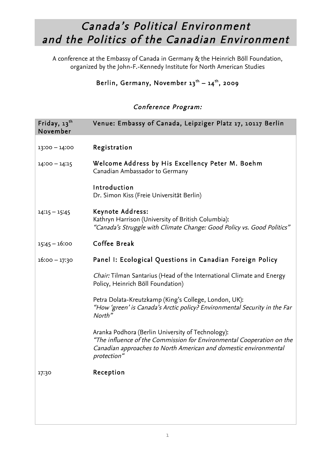## Canada's Political Environment and the Politics of the Canadian Environment

 A conference at the Embassy of Canada in Germany & the Heinrich Böll Foundation, organized by the John-F.-Kennedy Institute for North American Studies

## Berlin, Germany, November 13<sup>th</sup> – 14<sup>th</sup>, 2009

## Conference Program:

| Friday, $13$ <sup>th</sup><br>November | Venue: Embassy of Canada, Leipziger Platz 17, 10117 Berlin                                                                                                                                                    |
|----------------------------------------|---------------------------------------------------------------------------------------------------------------------------------------------------------------------------------------------------------------|
|                                        |                                                                                                                                                                                                               |
| $13:00 - 14:00$                        | Registration                                                                                                                                                                                                  |
| $14:00 - 14:15$                        | Welcome Address by His Excellency Peter M. Boehm<br>Canadian Ambassador to Germany                                                                                                                            |
|                                        | Introduction<br>Dr. Simon Kiss (Freie Universität Berlin)                                                                                                                                                     |
| $14:15 - 15:45$                        | Keynote Address:<br>Kathryn Harrison (University of British Columbia):<br>"Canada's Struggle with Climate Change: Good Policy vs. Good Politics"                                                              |
| $15:45 - 16:00$                        | Coffee Break                                                                                                                                                                                                  |
| $16:00 - 17:30$                        | Panel I: Ecological Questions in Canadian Foreign Policy                                                                                                                                                      |
|                                        | <i>Chair:</i> Tilman Santarius (Head of the International Climate and Energy<br>Policy, Heinrich Böll Foundation)                                                                                             |
|                                        | Petra Dolata-Kreutzkamp (King's College, London, UK):<br>"How 'green' is Canada's Arctic policy? Environmental Security in the Far<br>North"                                                                  |
|                                        | Aranka Podhora (Berlin University of Technology):<br>"The influence of the Commission for Environmental Cooperation on the<br>Canadian approaches to North American and domestic environmental<br>protection" |
| 17:30                                  | Reception                                                                                                                                                                                                     |
|                                        |                                                                                                                                                                                                               |
|                                        |                                                                                                                                                                                                               |
|                                        |                                                                                                                                                                                                               |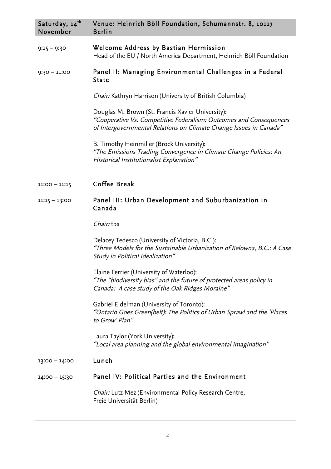| Saturday, 14 <sup>th</sup><br>November | Venue: Heinrich Böll Foundation, Schumannstr. 8, 10117<br><b>Berlin</b>                                                                                                                       |
|----------------------------------------|-----------------------------------------------------------------------------------------------------------------------------------------------------------------------------------------------|
| $9:15 - 9:30$                          | Welcome Address by Bastian Hermission<br>Head of the EU / North America Department, Heinrich Böll Foundation                                                                                  |
| $9:30 - 11:00$                         | Panel II: Managing Environmental Challenges in a Federal<br><b>State</b>                                                                                                                      |
|                                        | <i>Chair:</i> Kathryn Harrison (University of British Columbia)                                                                                                                               |
|                                        | Douglas M. Brown (St. Francis Xavier University):<br>"Cooperative Vs. Competitive Federalism: Outcomes and Consequences<br>of Intergovernmental Relations on Climate Change Issues in Canada" |
|                                        | B. Timothy Heinmiller (Brock University):<br>"The Emissions Trading Convergence in Climate Change Policies: An<br>Historical Institutionalist Explanation"                                    |
| $11:00 - 11:15$                        | Coffee Break                                                                                                                                                                                  |
| $11:15 - 13:00$                        | Panel III: Urban Development and Suburbanization in<br>Canada                                                                                                                                 |
|                                        | Chair: tba                                                                                                                                                                                    |
|                                        | Delacey Tedesco (University of Victoria, B.C.):<br>"Three Models for the Sustainable Urbanization of Kelowna, B.C.: A Case<br>Study in Political Idealization"                                |
|                                        | Elaine Ferrier (University of Waterloo):<br>"The "biodiversity bias" and the future of protected areas policy in<br>Canada: A case study of the Oak Ridges Moraine"                           |
|                                        | Gabriel Eidelman (University of Toronto):<br>"Ontario Goes Green(belt): The Politics of Urban Sprawl and the 'Places<br>to Grow' Plan"                                                        |
|                                        | Laura Taylor (York University):<br>"Local area planning and the global environmental imagination"                                                                                             |
| $13:00 - 14:00$                        | Lunch                                                                                                                                                                                         |
| $14:00 - 15:30$                        | Panel IV: Political Parties and the Environment                                                                                                                                               |
|                                        | Chair: Lutz Mez (Environmental Policy Research Centre,<br>Freie Universität Berlin)                                                                                                           |
|                                        |                                                                                                                                                                                               |